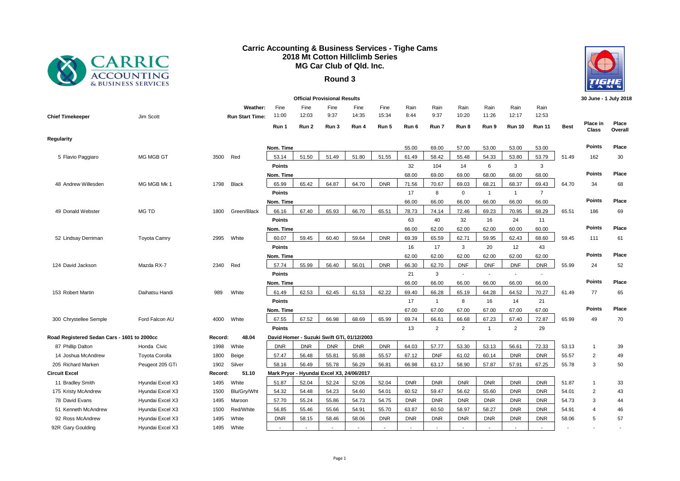

## **Carric Accounting & Business Services - Tighe Cams 2018 Mt Cotton Hillclimb Series MG Car Club of Qld. Inc.**

## **Round 3**



| <b>Official Provisional Results</b>         |                       |         |                             |                                            |               |                                |               |               |              |                |                          |                          |                          |                          | 30 June - 1 July 2018 |                   |                  |
|---------------------------------------------|-----------------------|---------|-----------------------------|--------------------------------------------|---------------|--------------------------------|---------------|---------------|--------------|----------------|--------------------------|--------------------------|--------------------------|--------------------------|-----------------------|-------------------|------------------|
| <b>Chief Timekeeper</b>                     | Jim Scott             |         | Weather:<br>Run Start Time: | Fine<br>11:00                              | Fine<br>12:03 | Fine<br>9:37                   | Fine<br>14:35 | Fine<br>15:34 | Rain<br>8:44 | Rain<br>9:37   | Rain<br>10:20            | Rain<br>11:26            | Rain<br>12:17            | Rain<br>12:53            |                       |                   |                  |
|                                             |                       |         |                             | Run 1                                      | Run 2         | Run 3                          | Run 4         | Run 5         | Run 6        | Run 7          | Run 8                    | Run 9                    | <b>Run 10</b>            | <b>Run 11</b>            | <b>Best</b>           | Place in<br>Class | Place<br>Overall |
| Regularity                                  |                       |         |                             |                                            |               |                                |               |               |              |                |                          |                          |                          |                          |                       |                   |                  |
|                                             |                       |         |                             | Nom. Time                                  |               |                                |               |               | 55.00        | 69.00          | 57.00                    | 53.00                    | 53.00                    | 53.00                    |                       | <b>Points</b>     | Place            |
| 5 Flavio Paggiaro                           | <b>MG MGB GT</b>      | 3500    | Red                         | 53.14                                      | 51.50         | 51.49                          | 51.80         | 51.55         | 61.49        | 58.42          | 55.48                    | 54.33                    | 53.80                    | 53.79                    | 51.49                 | 162               | 30               |
|                                             |                       |         |                             | <b>Points</b>                              |               |                                |               |               | 32           | 104            | 14                       | 6                        | 3                        | 3                        |                       |                   |                  |
|                                             |                       |         |                             | Nom. Time                                  |               |                                |               |               | 68.00        | 69.00          | 69.00                    | 68.00                    | 68.00                    | 68.00                    |                       | <b>Points</b>     | Place            |
| 48 Andrew Willesden                         | MG MGB Mk 1           | 1798    | <b>Black</b>                | 65.99                                      | 65.42         | 64.87                          | 64.70         | <b>DNR</b>    | 71.56        | 70.67          | 69.03                    | 68.21                    | 68.37                    | 69.43                    | 64.70                 | 34                | 68               |
|                                             |                       |         |                             | <b>Points</b>                              |               |                                |               |               | 17           | 8              | $\mathbf 0$              | $\overline{1}$           | $\mathbf{1}$             | $\overline{7}$           |                       |                   |                  |
|                                             |                       |         |                             | Nom. Time                                  |               |                                |               |               | 66.00        | 66.00          | 66.00                    | 66.00                    | 66.00                    | 66.00                    |                       | Points            | Place            |
| 49 Donald Webster                           | MG TD                 | 1800    | Green/Black                 | 66.16                                      | 67.40         | 65.93                          | 66.70         | 65.51         | 78.73        | 74.14          | 72.46                    | 69.23                    | 70.95                    | 68.29                    | 65.51                 | 186               | 69               |
|                                             |                       |         |                             | <b>Points</b>                              |               |                                |               |               | 63           | 40             | 32                       | 16                       | 24                       | 11                       |                       |                   |                  |
|                                             |                       |         |                             | Nom. Time                                  |               |                                |               |               | 66.00        | 62.00          | 62.00                    | 62.00                    | 60.00                    | 60.00                    |                       | <b>Points</b>     | Place            |
| 52 Lindsay Derriman                         | <b>Toyota Camry</b>   | 2995    | White                       | 60.07                                      | 59.45         | 60.40                          | 59.64         | <b>DNR</b>    | 69.39        | 65.59          | 62.71                    | 59.95                    | 62.43                    | 68.60                    | 59.45                 | 111               | 61               |
|                                             |                       |         |                             | <b>Points</b>                              |               |                                |               |               | 16           | 17             | 3                        | 20                       | 12                       | 43                       |                       |                   |                  |
|                                             |                       |         |                             | Nom. Time                                  |               |                                |               |               | 62.00        | 62.00          | 62.00                    | 62.00                    | 62.00                    | 62.00                    |                       | Points            | Place            |
| 124 David Jackson                           | Mazda RX-7            | 2340    | Red                         | 57.74                                      | 55.99         | 56.40                          | 56.01         | <b>DNR</b>    | 66.30        | 62.70          | <b>DNF</b>               | <b>DNF</b>               | <b>DNF</b>               | <b>DNR</b>               | 55.99                 | 24                | 52               |
|                                             |                       |         |                             | Points                                     |               |                                |               |               | 21           | 3              | $\overline{\phantom{a}}$ | $\overline{\phantom{a}}$ | $\overline{\phantom{a}}$ | $\overline{\phantom{a}}$ |                       |                   |                  |
|                                             |                       |         |                             | Nom. Time                                  |               |                                |               |               | 66.00        | 66.00          | 66.00                    | 66.00                    | 66.00                    | 66.00                    |                       | <b>Points</b>     | Place            |
| 153 Robert Martin                           | Daihatsu Handi        | 989     | White                       | 61.49                                      | 62.53         | 62.45                          | 61.53         | 62.22         | 69.40        | 66.28          | 65.19                    | 64.28                    | 64.52                    | 70.27                    | 61.49                 | 77                | 65               |
|                                             |                       |         |                             | <b>Points</b>                              |               |                                |               |               | 17           | $\mathbf{1}$   | 8                        | 16                       | 14                       | 21                       |                       |                   |                  |
|                                             |                       |         |                             | Nom. Time                                  |               |                                |               |               | 67.00        | 67.00          | 67.00                    | 67.00                    | 67.00                    | 67.00                    |                       | <b>Points</b>     | Place            |
| 300 Chrystellee Semple                      | Ford Falcon AU        | 4000    | White                       | 67.55                                      | 67.52         | 66.98                          | 68.69         | 65.99         | 69.74        | 66.61          | 66.68                    | 67.23                    | 67.40                    | 72.87                    | 65.99                 | 49                | 70               |
|                                             |                       |         |                             | Points                                     |               |                                |               |               | 13           | $\overline{2}$ | $\overline{2}$           | $\overline{1}$           | $\overline{2}$           | 29                       |                       |                   |                  |
| Road Registered Sedan Cars - 1601 to 2000cc |                       | Record: | 48.04                       | David Homer - Suzuki Swift GTi, 01/12/2003 |               |                                |               |               |              |                |                          |                          |                          |                          |                       |                   |                  |
| 87 Phillip Dalton                           | Honda Civic           | 1998    | White                       | <b>DNR</b>                                 | <b>DNR</b>    | <b>DNR</b>                     | <b>DNR</b>    | <b>DNR</b>    | 64.03        | 57.77          | 53.30                    | 53.13                    | 56.61                    | 72.33                    | 53.13                 | -1                | 39               |
| 14 Joshua McAndrew                          | <b>Toyota Corolla</b> | 1800    | Beige                       | 57.47                                      | 56.48         | 55.81                          | 55.88         | 55.57         | 67.12        | <b>DNF</b>     | 61.02                    | 60.14                    | <b>DNR</b>               | <b>DNR</b>               | 55.57                 | 2                 | 49               |
| 205 Richard Marken                          | Peugeot 205 GTi       | 1902    | Silver                      | 58.16                                      | 56.49         | 55.78                          | 56.29         | 56.81         | 66.98        | 63.17          | 58.90                    | 57.87                    | 57.91                    | 67.25                    | 55.78                 | 3                 | 50               |
| <b>Circuit Excel</b>                        |                       | Record: | 51.10                       | <b>Mark Pryor</b>                          |               | - Hyundai Excel X3, 24/06/2017 |               |               |              |                |                          |                          |                          |                          |                       |                   |                  |
| 11 Bradley Smith                            | Hyundai Excel X3      | 1495    | White                       | 51.87                                      | 52.04         | 52.24                          | 52.06         | 52.04         | <b>DNR</b>   | <b>DNR</b>     | <b>DNR</b>               | <b>DNR</b>               | <b>DNR</b>               | <b>DNR</b>               | 51.87                 | -1                | 33               |
| 175 Kristy McAndrew                         | Hyundai Excel X3      | 1500    | Blu/Gry/Wht                 | 54.32                                      | 54.48         | 54.23                          | 54.60         | 54.01         | 60.52        | 59.47          | 56.62                    | 55.60                    | <b>DNR</b>               | <b>DNR</b>               | 54.01                 | $\overline{2}$    | 43               |
| 78 David Evans                              | Hyundai Excel X3      | 1495    | Maroon                      | 57.70                                      | 55.24         | 55.86                          | 54.73         | 54.75         | <b>DNR</b>   | <b>DNR</b>     | <b>DNR</b>               | <b>DNR</b>               | <b>DNR</b>               | <b>DNR</b>               | 54.73                 | 3                 | 44               |
| 51 Kenneth McAndrew                         | Hyundai Excel X3      | 1500    | Red/White                   | 56.85                                      | 55.46         | 55.66                          | 54.91         | 55.70         | 63.87        | 60.50          | 58.97                    | 58.27                    | <b>DNR</b>               | <b>DNR</b>               | 54.91                 | 4                 | 46               |
| 92 Ross McAndrew                            | Hyundai Excel X3      | 1495    | White                       | <b>DNR</b>                                 | 58.15         | 58.46                          | 58.06         | <b>DNR</b>    | <b>DNR</b>   | <b>DNR</b>     | <b>DNR</b>               | <b>DNR</b>               | <b>DNR</b>               | <b>DNR</b>               | 58.06                 | 5                 | 57               |
| 92R Gary Goulding                           | Hyundai Excel X3      | 1495    | White                       |                                            |               |                                |               |               |              |                |                          |                          |                          |                          |                       |                   |                  |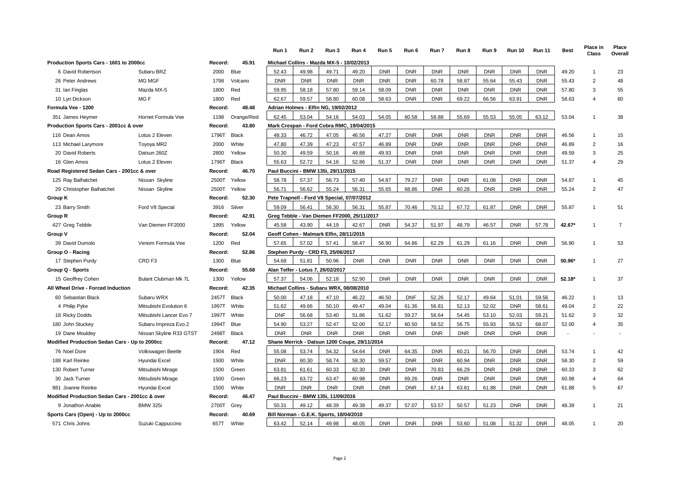|                                                |                             |            |              | Run 1      | Run 2                                         | Run 3      | Run 4      | Run 5      | Run 6      | Run 7      | Run 8      | Run 9      | <b>Run 10</b> | <b>Run 11</b> | <b>Best</b> | Place in<br><b>Class</b> | Place<br>Overall |
|------------------------------------------------|-----------------------------|------------|--------------|------------|-----------------------------------------------|------------|------------|------------|------------|------------|------------|------------|---------------|---------------|-------------|--------------------------|------------------|
| Production Sports Cars - 1601 to 2000cc        |                             | Record:    | 45.91        |            | Michael Collins - Mazda MX-5 - 10/02/2013     |            |            |            |            |            |            |            |               |               |             |                          |                  |
| 6 David Robertson                              | Subaru BRZ                  | 2000       | Blue         | 52.43      | 49.98                                         | 49.71      | 49.20      | <b>DNR</b> | <b>DNR</b> | <b>DNR</b> | <b>DNR</b> | <b>DNR</b> | <b>DNR</b>    | <b>DNR</b>    | 49.20       | $\overline{1}$           | 23               |
| 26 Peter Andrews                               | MG MGF                      | 1798       | Volcano      | <b>DNR</b> | <b>DNR</b>                                    | <b>DNR</b> | <b>DNR</b> | <b>DNR</b> | <b>DNR</b> | 60.78      | 58.87      | 55.64      | 55.43         | <b>DNR</b>    | 55.43       | $\overline{2}$           | 48               |
| 31 Ian Finglas                                 | Mazda MX-5                  | 1800       | Red          | 59.95      | 58.18                                         | 57.80      | 59.14      | 58.09      | <b>DNR</b> | <b>DNR</b> | <b>DNR</b> | <b>DNR</b> | <b>DNR</b>    | <b>DNR</b>    | 57.80       | 3                        | 55               |
| 10 Lyn Dickson                                 | MG F                        | 1800       | Red          | 62.67      | 59.57                                         | 58.80      | 60.08      | 58.63      | <b>DNR</b> | <b>DNR</b> | 69.22      | 66.56      | 63.91         | <b>DNR</b>    | 58.63       | $\overline{4}$           | 60               |
| Formula Vee - 1200                             |                             | Record:    | 48.48        |            | Adrian Holmes - Elfin NG, 19/02/2012          |            |            |            |            |            |            |            |               |               |             |                          |                  |
| 351 James Heymer                               | Hornet Formula Vee          | 1198       | Orange/Red   | 62.45      | 53.04                                         | 54.16      | 54.03      | 54.05      | 60.58      | 58.88      | 55.69      | 55.53      | 55.05         | 63.12         | 53.04       | $\overline{1}$           | 38               |
| Production Sports Cars - 2001cc & over         |                             | Record:    | 43.80        |            | Mark Crespan - Ford Cobra RMC, 19/04/2015     |            |            |            |            |            |            |            |               |               |             |                          |                  |
| 116 Dean Amos                                  | Lotus 2 Eleven              | 1796T      | <b>Black</b> | 48.33      | 46.72                                         | 47.05      | 46.56      | 47.27      | <b>DNR</b> | <b>DNR</b> | <b>DNR</b> | <b>DNR</b> | <b>DNR</b>    | <b>DNR</b>    | 46.56       | $\overline{1}$           | 15               |
| 113 Michael Larymore                           | Toyoya MR2                  | 2000       | White        | 47.80      | 47.39                                         | 47.23      | 47.57      | 46.89      | <b>DNR</b> | <b>DNR</b> | <b>DNR</b> | <b>DNR</b> | <b>DNR</b>    | <b>DNR</b>    | 46.89       | $\overline{2}$           | 16               |
| 20 David Roberts                               | Datsun 260Z                 | 2800       | Yellow       | 50.30      | 49.59                                         | 50.16      | 49.88      | 49.93      | <b>DNR</b> | <b>DNR</b> | <b>DNR</b> | <b>DNR</b> | <b>DNR</b>    | <b>DNR</b>    | 49.59       | 3                        | 25               |
| 16 Glen Amos                                   | Lotus 2 Eleven              | 1796T      | Black        | 55.63      | 52.72                                         | 54.16      | 52.86      | 51.37      | <b>DNR</b> | <b>DNR</b> | <b>DNR</b> | <b>DNR</b> | <b>DNR</b>    | <b>DNR</b>    | 51.37       | $\overline{4}$           | 29               |
| Road Registered Sedan Cars - 2001cc & over     |                             | Record:    | 46.70        |            | Paul Buccini - BMW 135i, 29/11/2015           |            |            |            |            |            |            |            |               |               |             |                          |                  |
| 125 Ray Balhatchet                             | Nissan Skyline              | 2500T      | Yellow       | 58.78      | 57.37                                         | 56.73      | 57.40      | 54.87      | 79.27      | <b>DNR</b> | <b>DNR</b> | 61.08      | <b>DNR</b>    | <b>DNR</b>    | 54.87       | $\overline{1}$           | 45               |
| 29 Christopher Balhatchet                      | Nissan Skyline              | 2500T      | Yellow       | 56.71      | 56.62                                         | 55.24      | 56.31      | 55.65      | 68.86      | <b>DNR</b> | 60.28      | <b>DNR</b> | <b>DNR</b>    | <b>DNR</b>    | 55.24       | 2                        | 47               |
| Group K                                        |                             | Record:    | 52.30        |            | Pete Trapnell - Ford V8 Special, 07/07/2012   |            |            |            |            |            |            |            |               |               |             |                          |                  |
| 23 Barry Smith                                 | Ford V8 Special             | 3916       | Silver       | 59.09      | 56.41                                         | 56.30      | 56.31      | 55.87      | 70.46      | 70.12      | 67.72      | 61.87      | <b>DNR</b>    | <b>DNR</b>    | 55.87       | $\overline{1}$           | 51               |
| Group R                                        |                             | Record:    | 42.91        |            | Greg Tebble - Van Diemen FF2000, 25/11/2017   |            |            |            |            |            |            |            |               |               |             |                          |                  |
| 427 Greg Tebble                                | Van Diemen FF2000           | 1995       | Yellow       | 45.58      | 43.90                                         | 44.19      | 42.67      | <b>DNR</b> | 54.37      | 51.97      | 48.79      | 46.57      | <b>DNR</b>    | 57.78         | 42.67       | 1                        | $\overline{7}$   |
| Group V                                        |                             | Record:    | 52.04        |            | Geoff Cohen - Malmark Elfin, 28/11/2015       |            |            |            |            |            |            |            |               |               |             |                          |                  |
| 39 David Dumolo                                | Venom Formula Vee           | 1200       | Red          | 57.65      | 57.02                                         | 57.41      | 58.47      | 56.90      | 64.86      | 62.29      | 61.29      | 61.16      | <b>DNR</b>    | <b>DNR</b>    | 56.90       | $\overline{1}$           | 53               |
| Group O - Racing                               |                             | Record:    | 52.86        |            | Stephen Purdy - CRD F3, 25/06/2017            |            |            |            |            |            |            |            |               |               |             |                          |                  |
| 17 Stephen Purdy                               | CRD <sub>F3</sub>           | 1300       | Blue         | 54.68      | 51.81                                         | 50.96      | <b>DNR</b> | <b>DNR</b> | <b>DNR</b> | <b>DNR</b> | <b>DNR</b> | <b>DNR</b> | <b>DNR</b>    | <b>DNR</b>    | 50.96       | 1                        | 27               |
| Group Q - Sports                               |                             | Record:    | 55.68        |            | Alan Telfer - Lotus 7, 26/02/2017             |            |            |            |            |            |            |            |               |               |             |                          |                  |
| 15 Geoffrey Cohen                              | <b>Bulant Clubman Mk 7L</b> | 1300       | Yellow       | 57.37      | 54.06                                         | 52.18      | 52.90      | <b>DNR</b> | <b>DNR</b> | <b>DNR</b> | <b>DNR</b> | <b>DNR</b> | <b>DNR</b>    | <b>DNR</b>    | $52.18*$    | $\mathbf 1$              | 37               |
| All Wheel Drive - Forced Induction             |                             | Record:    | 42.35        |            | Michael Collins - Subaru WRX, 08/08/2010      |            |            |            |            |            |            |            |               |               |             |                          |                  |
| 60 Sebastian Black                             | Subaru WRX                  | 2457T      | <b>Black</b> | 50.00      | 47.18                                         | 47.10      | 46.22      | 46.50      | <b>DNF</b> | 52.26      | 52.17      | 49.64      | 51.01         | 59.56         | 46.22       | $\overline{1}$           | 13               |
| 4 Philip Pyke                                  | Mitsubishi Evolution 6      | 1997T      | White        | 51.62      | 49.66                                         | 50.10      | 49.47      | 49.04      | 61.36      | 56.81      | 52.13      | 52.02      | <b>DNR</b>    | 58.61         | 49.04       | $\overline{2}$           | 22               |
| 18 Ricky Dodds                                 | Mitsubishi Lancer Evo 7     | 1997T      | White        | <b>DNF</b> | 56.68                                         | 53.40      | 51.86      | 51.62      | 59.27      | 56.64      | 54.45      | 53.10      | 52.03         | 59.21         | 51.62       | 3                        | 32               |
| 180 John Stuckey                               | Subaru Impreza Evo.2        | 1994T      | Blue         | 54.90      | 53.27                                         | 52.47      | 52.00      | 52.17      | 60.50      | 58.52      | 56.75      | 55.93      | 56.52         | 68.07         | 52.00       | $\overline{4}$           | 35               |
| 19 Dane Mouldey                                | Nissan Skyline R33 GTST     | 2498T      | Black        | <b>DNR</b> | <b>DNR</b>                                    | <b>DNR</b> | <b>DNR</b> | <b>DNR</b> | <b>DNR</b> | <b>DNR</b> | <b>DNR</b> | <b>DNR</b> | <b>DNR</b>    | <b>DNR</b>    |             |                          |                  |
| Modified Production Sedan Cars - Up to 2000cc  |                             | Record:    | 47.12        |            | Shane Merrick - Datsun 1200 Coupe, 29/11/2014 |            |            |            |            |            |            |            |               |               |             |                          |                  |
| 76 Noel Dore                                   | Volkswagen Beetle           | 1904       | Red          | 55.08      | 53.74                                         | 54.32      | 54.64      | <b>DNR</b> | 64.35      | <b>DNR</b> | 60.21      | 56.70      | <b>DNR</b>    | <b>DNR</b>    | 53.74       | $\overline{1}$           | 42               |
| 188 Karl Reinke                                | Hyundai Excel               | 1500       | White        | <b>DNR</b> | 60.30                                         | 58.74      | 58.30      | 59.57      | <b>DNR</b> | <b>DNR</b> | 60.94      | <b>DNR</b> | <b>DNR</b>    | <b>DNR</b>    | 58.30       | 2                        | 59               |
| 130 Robert Turner                              | Mitsubishi Mirage           | 1500       | Green        | 63.81      | 61.61                                         | 60.33      | 62.30      | <b>DNR</b> | <b>DNR</b> | 70.83      | 66.29      | <b>DNR</b> | <b>DNR</b>    | <b>DNR</b>    | 60.33       | 3                        | 62               |
| 30 Jack Turner                                 | Mitsubishi Mirage           | 1500       | Green        | 66.23      | 63.72                                         | 63.47      | 60.98      | <b>DNR</b> | 69.26      | <b>DNR</b> | <b>DNR</b> | <b>DNR</b> | <b>DNR</b>    | <b>DNR</b>    | 60.98       | $\overline{4}$           | 64               |
| 881 Joanne Reinke                              | Hyundai Excel               | 1500       | White        | <b>DNR</b> | <b>DNR</b>                                    | <b>DNR</b> | <b>DNR</b> | <b>DNR</b> | <b>DNR</b> | 67.14      | 63.81      | 61.88      | <b>DNR</b>    | <b>DNR</b>    | 61.88       | 5                        | 67               |
| Modified Production Sedan Cars - 2001cc & over |                             | Record:    | 46.47        |            | Paul Buccini - BMW 135i, 11/09/2016           |            |            |            |            |            |            |            |               |               |             |                          |                  |
| 9 Jonathon Anable                              | <b>BMW 325i</b>             | 2700T      | Grey         | 50.31      | 49.12                                         | 48.39      | 49.38      | 49.37      | 57.07      | 53.57      | 50.57      | 51.23      | <b>DNR</b>    | <b>DNR</b>    | 48.39       | $\overline{1}$           | 21               |
| Sports Cars (Open) - Up to 2000cc              |                             | Record:    | 40.69        |            | Bill Norman - G.E.K. Sports, 18/04/2010       |            |            |            |            |            |            |            |               |               |             |                          |                  |
| 571 Chris Johns                                | Suzuki Cappuccino           | 657T White |              | 63.42      | 52.14                                         | 49.98      | 48.05      | <b>DNR</b> | <b>DNR</b> | <b>DNR</b> | 53.60      | 51.08      | 51.32         | <b>DNR</b>    | 48.05       | $\overline{1}$           | 20               |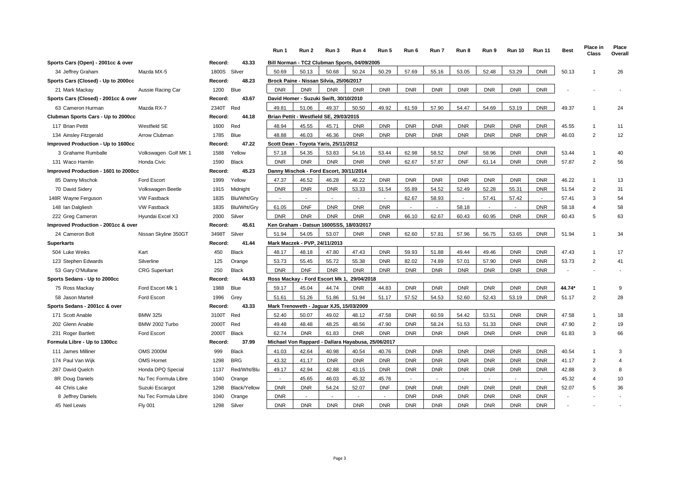|                                      |                      |         |              | Run 1                                              | Run 2      | Run 3      | Run 4      | Run 5      | Run 6      | Run 7          | Run 8      | Run 9      | <b>Run 10</b> | <b>Run 11</b> | <b>Best</b> | Place in<br>Class | Place<br>Overall |
|--------------------------------------|----------------------|---------|--------------|----------------------------------------------------|------------|------------|------------|------------|------------|----------------|------------|------------|---------------|---------------|-------------|-------------------|------------------|
| Sports Cars (Open) - 2001cc & over   |                      | Record: | 43.33        | Bill Norman - TC2 Clubman Sports, 04/09/2005       |            |            |            |            |            |                |            |            |               |               |             |                   |                  |
| 34 Jeffrey Graham                    | Mazda MX-5           | 1800S   | Silver       | 50.69                                              | 50.13      | 50.68      | 50.24      | 50.29      | 57.69      | 55.16          | 53.05      | 52.48      | 53.29         | <b>DNR</b>    | 50.13       | -1                | 26               |
| Sports Cars (Closed) - Up to 2000cc  |                      | Record: | 48.23        | Brock Paine - Nissan Silvia, 25/06/2017            |            |            |            |            |            |                |            |            |               |               |             |                   |                  |
| 21 Mark Mackay                       | Aussie Racing Car    | 1200    | Blue         | <b>DNR</b>                                         | <b>DNR</b> | <b>DNR</b> | <b>DNR</b> | <b>DNR</b> | <b>DNR</b> | <b>DNR</b>     | <b>DNR</b> | <b>DNR</b> | <b>DNR</b>    | <b>DNR</b>    |             |                   |                  |
| Sports Cars (Closed) - 2001cc & over |                      | Record: | 43.67        | David Homer - Suzuki Swift, 30/10/2010             |            |            |            |            |            |                |            |            |               |               |             |                   |                  |
| 63 Cameron Hurman                    | Mazda RX-7           | 2340T   | Red          | 49.81                                              | 51.06      | 49.37      | 50.50      | 49.92      | 61.59      | 57.90          | 54.47      | 54.69      | 53.19         | <b>DNR</b>    | 49.37       | $\overline{1}$    | 24               |
| Clubman Sports Cars - Up to 2000cc   |                      | Record: | 44.18        | Brian Pettit - Westfield SE, 29/03/2015            |            |            |            |            |            |                |            |            |               |               |             |                   |                  |
| 117 Brian Pettit                     | Westfield SE         | 1600    | Red          | 48.94                                              | 45.55      | 45.71      | <b>DNR</b> | <b>DNR</b> | <b>DNR</b> | <b>DNR</b>     | <b>DNR</b> | <b>DNR</b> | <b>DNR</b>    | <b>DNR</b>    | 45.55       | $\mathbf{1}$      | 11               |
| 134 Ainsley Fitzgerald               | Arrow Clubman        | 1785    | Blue         | 48.88                                              | 46.03      | 46.36      | <b>DNR</b> | <b>DNR</b> | <b>DNR</b> | <b>DNR</b>     | <b>DNR</b> | <b>DNR</b> | <b>DNR</b>    | <b>DNR</b>    | 46.03       | $\overline{2}$    | 12               |
| Improved Production - Up to 1600cc   |                      | Record: | 47.22        | Scott Dean - Toyota Yaris, 25/11/2012              |            |            |            |            |            |                |            |            |               |               |             |                   |                  |
| 3 Grahame Rumballe                   | Volkswagen Golf MK 1 | 1588    | Yellow       | 57.18                                              | 54.35      | 53.83      | 54.16      | 53.44      | 62.98      | 58.52          | <b>DNF</b> | 58.96      | <b>DNR</b>    | <b>DNR</b>    | 53.44       | $\mathbf{1}$      | 40               |
| 131 Waco Hamlin                      | <b>Honda Civic</b>   | 1590    | <b>Black</b> | <b>DNR</b>                                         | <b>DNR</b> | <b>DNR</b> | <b>DNR</b> | <b>DNR</b> | 62.67      | 57.87          | <b>DNF</b> | 61.14      | <b>DNR</b>    | <b>DNR</b>    | 57.87       | $\overline{2}$    | 56               |
| Improved Production - 1601 to 2000cc |                      | Record: | 45.23        | Danny Mischok - Ford Escort, 30/11/2014            |            |            |            |            |            |                |            |            |               |               |             |                   |                  |
| 85 Danny Mischok                     | <b>Ford Escort</b>   | 1999    | Yellow       | 47.37                                              | 46.52      | 46.28      | 46.22      | <b>DNR</b> | <b>DNR</b> | <b>DNR</b>     | <b>DNR</b> | <b>DNR</b> | <b>DNR</b>    | <b>DNR</b>    | 46.22       | $\mathbf{1}$      | 13               |
| 70 David Sidery                      | Volkswagen Beetle    | 1915    | Midnight     | <b>DNR</b>                                         | <b>DNR</b> | <b>DNR</b> | 53.33      | 51.54      | 55.89      | 54.52          | 52.49      | 52.28      | 55.31         | <b>DNR</b>    | 51.54       | $\overline{2}$    | 31               |
| 148R Wayne Ferguson                  | <b>VW Fastback</b>   | 1835    | Blu/Wht/Gry  |                                                    | $\sim$     |            | $\sim$     | $\sim$     | 62.67      | 58.93          |            | 57.41      | 57.42         |               | 57.41       | 3                 | 54               |
| 148 Ian Dalgliesh                    | <b>VW Fastback</b>   | 1835    | Blu/Wht/Gry  | 61.05                                              | <b>DNF</b> | <b>DNR</b> | <b>DNR</b> | <b>DNR</b> |            | $\blacksquare$ | 58.18      |            |               | <b>DNR</b>    | 58.18       | $\overline{4}$    | 58               |
| 222 Greg Cameron                     | Hyundai Excel X3     | 2000    | Silver       | <b>DNR</b>                                         | <b>DNR</b> | <b>DNR</b> | <b>DNR</b> | <b>DNR</b> | 66.10      | 62.67          | 60.43      | 60.95      | <b>DNR</b>    | <b>DNR</b>    | 60.43       | 5                 | 63               |
| Improved Production - 2001cc & over  |                      | Record: | 45.61        | Ken Graham - Datsun 1600SSS, 18/03/2017            |            |            |            |            |            |                |            |            |               |               |             |                   |                  |
| 24 Cameron Bolt                      | Nissan Skyline 350GT | 3498T   | Silver       | 51.94                                              | 54.05      | 53.07      | <b>DNR</b> | <b>DNR</b> | 62.60      | 57.81          | 57.96      | 56.75      | 53.65         | <b>DNR</b>    | 51.94       | $\mathbf{1}$      | 34               |
| <b>Superkarts</b>                    |                      | Record: | 41.44        | Mark Maczek - PVP, 24/11/2013                      |            |            |            |            |            |                |            |            |               |               |             |                   |                  |
| 504 Luke Weiks                       | Kart                 | 450     | <b>Black</b> | 48.17                                              | 48.18      | 47.80      | 47.43      | <b>DNR</b> | 59.93      | 51.88          | 49.44      | 49.46      | <b>DNR</b>    | <b>DNR</b>    | 47.43       | $\overline{1}$    | 17               |
| 123 Stephen Edwards                  | Silverline           | 125     | Orange       | 53.73                                              | 55.45      | 55.72      | 55.38      | <b>DNR</b> | 82.02      | 74.89          | 57.01      | 57.90      | <b>DNR</b>    | <b>DNR</b>    | 53.73       | $\overline{2}$    | 41               |
| 53 Gary O'Mullane                    | <b>CRG</b> Superkart | 250     | <b>Black</b> | <b>DNR</b>                                         | <b>DNF</b> | <b>DNR</b> | <b>DNR</b> | <b>DNR</b> | <b>DNR</b> | <b>DNR</b>     | <b>DNR</b> | <b>DNR</b> | <b>DNR</b>    | <b>DNR</b>    |             |                   |                  |
| Sports Sedans - Up to 2000cc         |                      | Record: | 44.93        | Ross Mackay - Ford Escort Mk 1                     |            |            | 29/04/2018 |            |            |                |            |            |               |               |             |                   |                  |
| 75 Ross Mackay                       | Ford Escort Mk 1     | 1988    | Blue         | 59.17                                              | 45.04      | 44.74      | <b>DNR</b> | 44.83      | <b>DNR</b> | <b>DNR</b>     | <b>DNR</b> | <b>DNR</b> | <b>DNR</b>    | <b>DNR</b>    | 44.74*      | $\mathbf{1}$      | 9                |
| 58 Jason Martell                     | <b>Ford Escort</b>   | 1996    | Grey         | 51.61                                              | 51.26      | 51.86      | 51.94      | 51.17      | 57.52      | 54.53          | 52.60      | 52.43      | 53.19         | <b>DNR</b>    | 51.17       | $\overline{2}$    | 28               |
| Sports Sedans - 2001cc & over        |                      | Record: | 43.33        | Mark Trenoweth - Jaguar XJS, 15/03/2009            |            |            |            |            |            |                |            |            |               |               |             |                   |                  |
| 171 Scott Anable                     | <b>BMW 325i</b>      | 3100T   | Red          | 52.40                                              | 50.07      | 49.02      | 48.12      | 47.58      | <b>DNR</b> | 60.59          | 54.42      | 53.51      | <b>DNR</b>    | <b>DNR</b>    | 47.58       | $\mathbf{1}$      | 18               |
| 202 Glenn Anable                     | BMW 2002 Turbo       | 2000T   | Red          | 49.48                                              | 48.48      | 48.25      | 48.56      | 47.90      | <b>DNR</b> | 58.24          | 51.53      | 51.33      | <b>DNR</b>    | <b>DNR</b>    | 47.90       | $\overline{2}$    | 19               |
| 231 Roger Bartlett                   | Ford Escort          | 2000T   | <b>Black</b> | 62.74                                              | <b>DNR</b> | 61.83      | <b>DNR</b> | <b>DNR</b> | <b>DNR</b> | <b>DNR</b>     | <b>DNR</b> | <b>DNR</b> | <b>DNR</b>    | <b>DNR</b>    | 61.83       | 3                 | 66               |
| Formula Libre - Up to 1300cc         |                      | Record: | 37.99        | Michael Von Rappard - Dallara Hayabusa, 25/06/2017 |            |            |            |            |            |                |            |            |               |               |             |                   |                  |
| 111 James Milliner                   | <b>OMS 2000M</b>     | 999     | <b>Black</b> | 41.03                                              | 42.64      | 40.98      | 40.54      | 40.76      | <b>DNR</b> | <b>DNR</b>     | <b>DNR</b> | <b>DNR</b> | <b>DNR</b>    | <b>DNR</b>    | 40.54       | $\mathbf{1}$      | 3                |
| 174 Paul Van Wijk                    | OMS Hornet           | 1298    | <b>BRG</b>   | 43.32                                              | 41.17      | <b>DNR</b> | <b>DNR</b> | <b>DNR</b> | <b>DNR</b> | <b>DNR</b>     | <b>DNR</b> | <b>DNR</b> | <b>DNR</b>    | <b>DNR</b>    | 41.17       | $\overline{2}$    | $\overline{4}$   |
| 287 David Quelch                     | Honda DPQ Special    | 1137    | Red/Wht/Blu  | 49.17                                              | 42.94      | 42.88      | 43.15      | <b>DNR</b> | <b>DNR</b> | <b>DNR</b>     | <b>DNR</b> | <b>DNR</b> | <b>DNR</b>    | <b>DNR</b>    | 42.88       | 3                 | 8                |
| 8R Doug Daniels                      | Nu Tec Formula Libre | 1040    | Orange       |                                                    | 45.65      | 46.03      | 45.32      | 45.76      |            |                |            |            |               |               | 45.32       | $\overline{4}$    | 10               |
| 44 Chris Lake                        | Suzuki Escargot      | 1298    | Black/Yellow | <b>DNR</b>                                         | <b>DNR</b> | 54.24      | 52.07      | <b>DNF</b> | <b>DNR</b> | <b>DNR</b>     | <b>DNR</b> | <b>DNR</b> | <b>DNR</b>    | <b>DNR</b>    | 52.07       | 5                 | 36               |
| 8 Jeffrey Daniels                    | Nu Tec Formula Libre | 1040    | Orange       | <b>DNR</b>                                         | $\sim$     |            | $\sim$     | $\sim$     | <b>DNR</b> | <b>DNR</b>     | <b>DNR</b> | <b>DNR</b> | <b>DNR</b>    | <b>DNR</b>    |             |                   |                  |
| 45 Neil Lewis                        | <b>Fly 001</b>       | 1298    | Silver       | <b>DNR</b>                                         | <b>DNR</b> | <b>DNR</b> | <b>DNR</b> | <b>DNR</b> | <b>DNR</b> | <b>DNR</b>     | <b>DNR</b> | <b>DNR</b> | <b>DNR</b>    | <b>DNR</b>    |             |                   |                  |